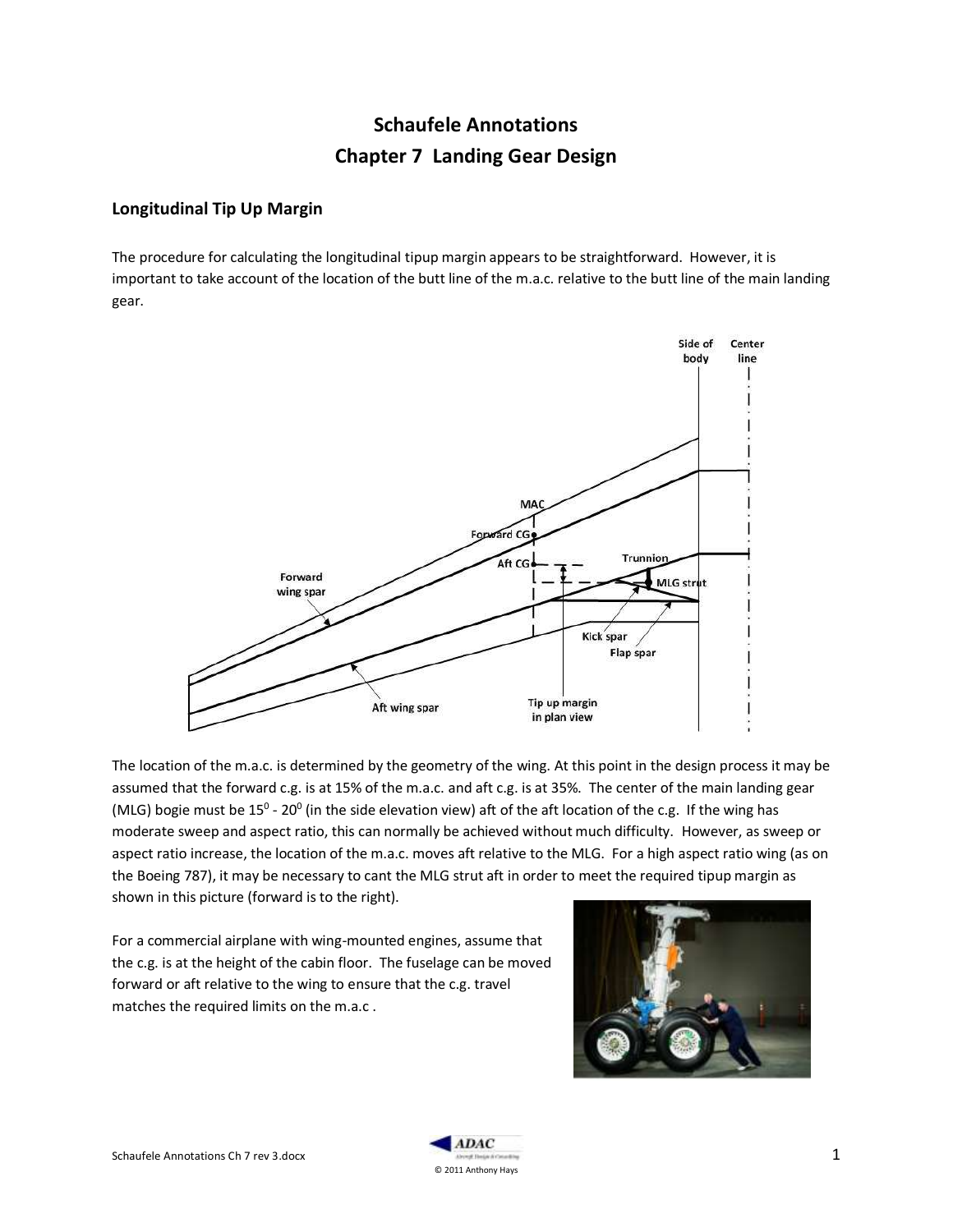# **Schaufele Annotations Chapter 7 Landing Gear Design**

## **Longitudinal Tip Up Margin**

The procedure for calculating the longitudinal tipup margin appears to be straightforward. However, it is important to take account of the location of the butt line of the m.a.c. relative to the butt line of the main landing gear.



The location of the m.a.c. is determined by the geometry of the wing. At this point in the design process it may be assumed that the forward c.g. is at 15% of the m.a.c. and aft c.g. is at 35%. The center of the main landing gear (MLG) bogie must be 15<sup>0</sup> - 20<sup>0</sup> (in the side elevation view) aft of the aft location of the c.g. If the wing has moderate sweep and aspect ratio, this can normally be achieved without much difficulty. However, as sweep or aspect ratio increase, the location of the m.a.c. moves aft relative to the MLG. For a high aspect ratio wing (as on the Boeing 787), it may be necessary to cant the MLG strut aft in order to meet the required tipup margin as shown in this picture (forward is to the right).

For a commercial airplane with wing-mounted engines, assume that the c.g. is at the height of the cabin floor. The fuselage can be moved forward or aft relative to the wing to ensure that the c.g. travel matches the required limits on the m.a.c .



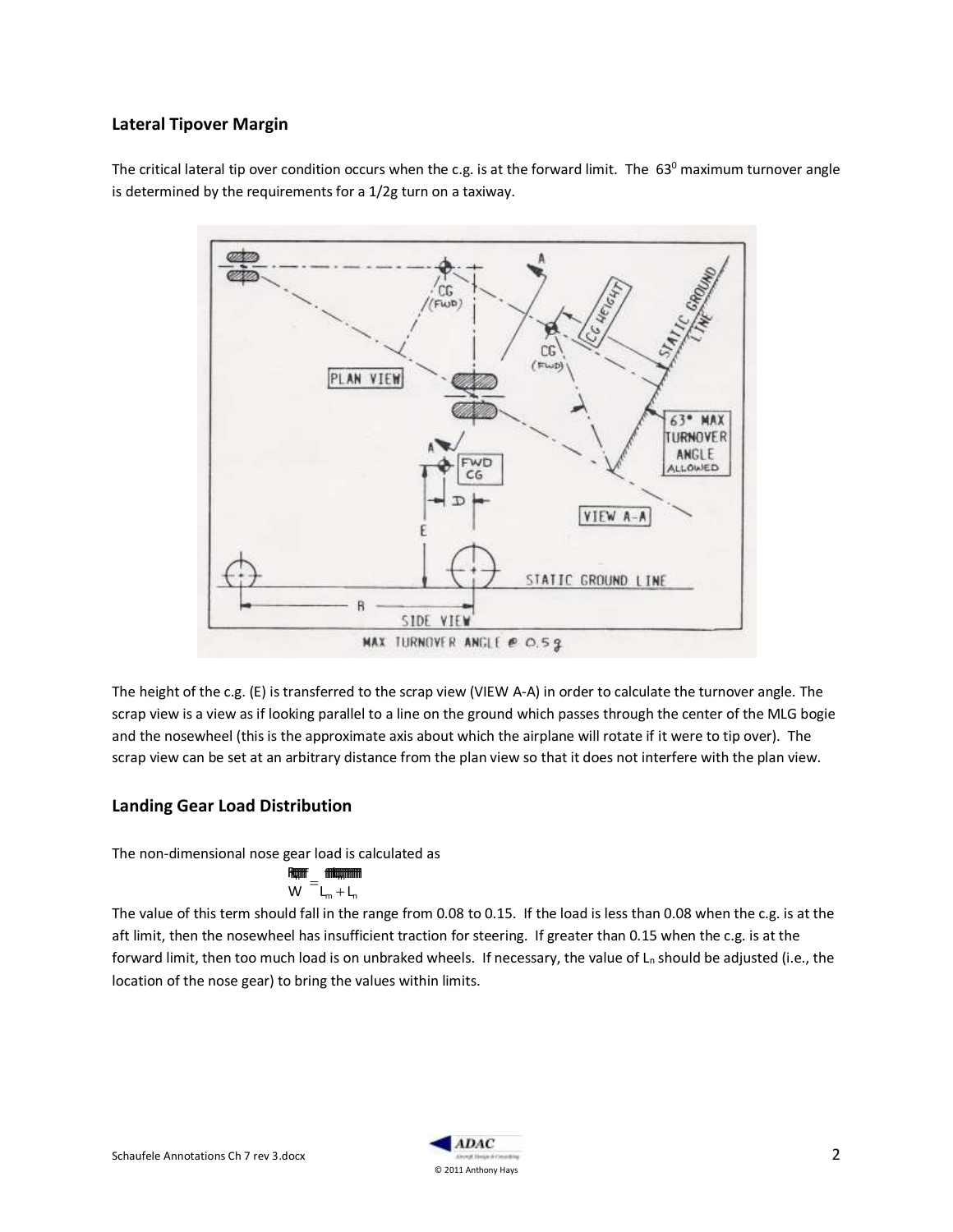#### **Lateral Tipover Margin**

The critical lateral tip over condition occurs when the c.g. is at the forward limit. The  $63^{\circ}$  maximum turnover angle is determined by the requirements for a 1/2g turn on a taxiway.



The height of the c.g. (E) is transferred to the scrap view (VIEW A-A) in order to calculate the turnover angle. The scrap view is a view as if looking parallel to a line on the ground which passes through the center of the MLG bogie and the nosewheel (this is the approximate axis about which the airplane will rotate if it were to tip over). The scrap view can be set at an arbitrary distance from the plan view so that it does not interfere with the plan view.

## **Landing Gear Load Distribution**

The non-dimensional nose gear load is calculated as

$$
\frac{R_{\text{Hill}}}{W} = \frac{R_{\text{Hill}}}{L_{\text{m}} + L_{\text{n}}}
$$

The value of this term should fall in the range from 0.08 to 0.15. If the load is less than 0.08 when the c.g. is at the aft limit, then the nosewheel has insufficient traction for steering. If greater than 0.15 when the c.g. is at the forward limit, then too much load is on unbraked wheels. If necessary, the value of  $L_n$  should be adjusted (i.e., the location of the nose gear) to bring the values within limits.